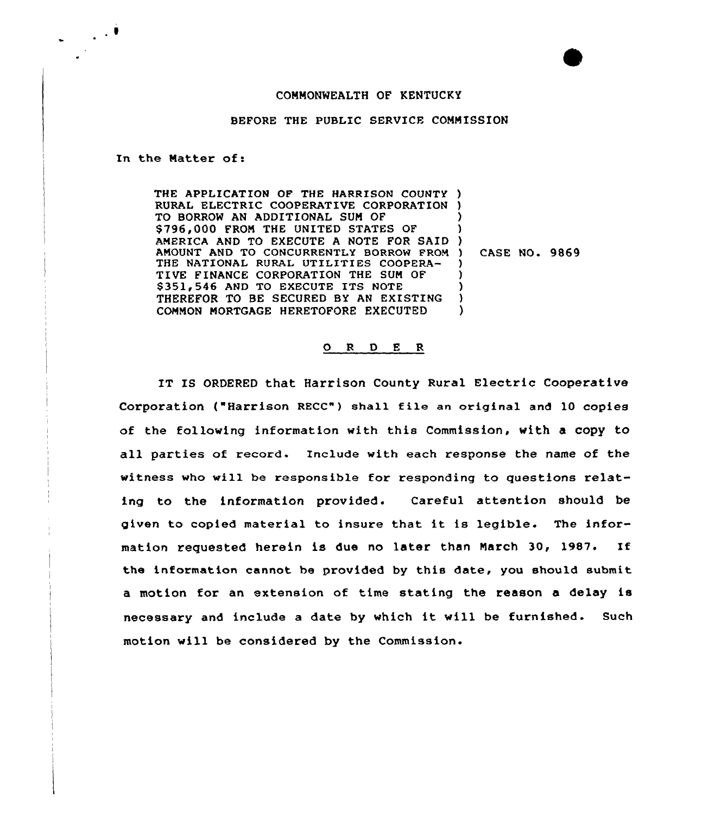## COMMONWEALTH OF KENTUCKY

## BEFORE THE PUBLIC SERVICE COMMISSION

In the Natter of:

 $\mathbb{R}^2$ 

THE APPLICATION OF THE HARRISON COUNTY ) RURAL ELECTRIC COOPERATIVE CORPORATION TO BORROW AN ADDITIONAL SUM OF \$796,000 FROM THE UNITED STATES OF AMERICA AND TO EXECUTE A NOTE FOR SAID AMOUNT AND TO CONCURRENTLY BORROW FROM ) THE NATIONAL RURAL UTILITIES COOPERA-TIVE FINANCE CORPORATION THE SUM OF \$351,546 AND TO EXECUTE ITS NOTE THEREFOR TO BE SECURED BY AN EXISTING COMMON MORTGAGE HERETOFORE EXECUTED ) ) ) ) ) ) )  $\lambda$ 

) CASE NO. 9869

## 0 <sup>R</sup> <sup>D</sup> E <sup>R</sup>

IT IS ORDERED that Harrison County Rural Electric Cooperative Corporation ("Harrison RECC") shall file an original and <sup>10</sup> copies of the following information with this Commission, with a copy to all parties of record. Include with each response the name of the witness who will be responsible for responding to questions relating to the information provided. Careful attention should be given to copied material to insure that it is legible. The information requested herein is due no later than March 30, 1987. If the information cannot be provided by this date, you should submit a motion for an extension of time stating the reason a delay is necessary and include <sup>a</sup> date by which it will be furnished. Such motion will be considered by the Commission.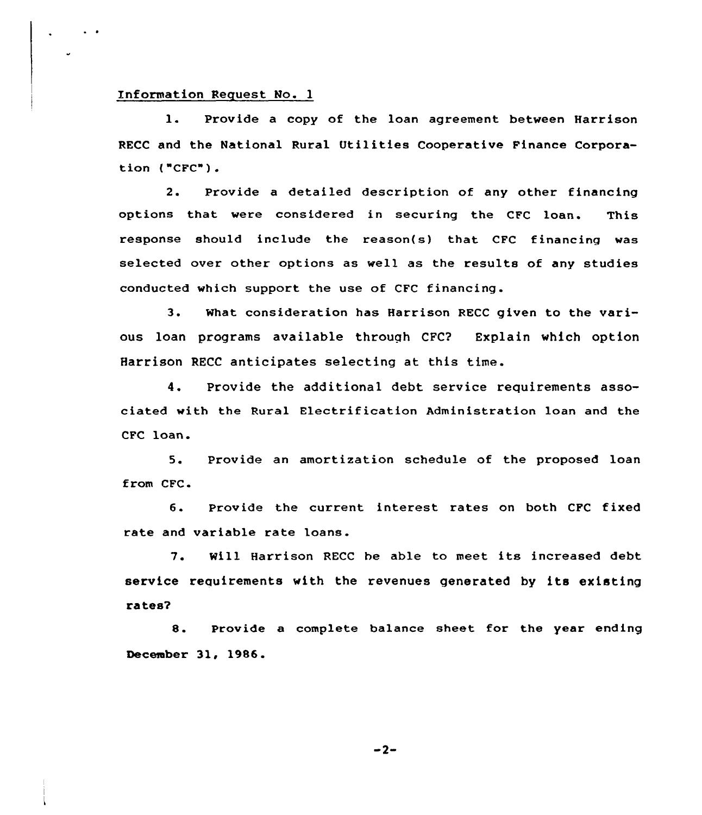## Information Request No. 1

 $\sim$   $\sim$ 

1. Provide <sup>a</sup> copy of the loan agreement between Harrison RECC and the National Rural Utilities Cooperative Finance Corporation ("CFC").

2. Provide a detailed description of any other financing options that were considered in securing the CFC loan. This response should include the reason(s) that CFC financing was selected over other options as well as the results of any studies conducted which support the use of CFC financing.

3. What consideration has Harrison RECC given to the various loan programs available through CFC? Explain which option Harrison RECC anticipates selecting at this time.

4. Provide the additional debt service requirements associated with the Rural Electrification Administration loan and the CFC loan.

5. Provide an amortization schedule of the proposed loan from CFC.

6. Provide the current interest rates on both CFC fixed rate and variable rate loans.

7. Will Harrison RECC he able to meet its increased debt service requirements with the revenues generated by its existing rates?

8. Provide <sup>a</sup> complete balance sheet for the year ending December 31, 1986.

 $-2-$